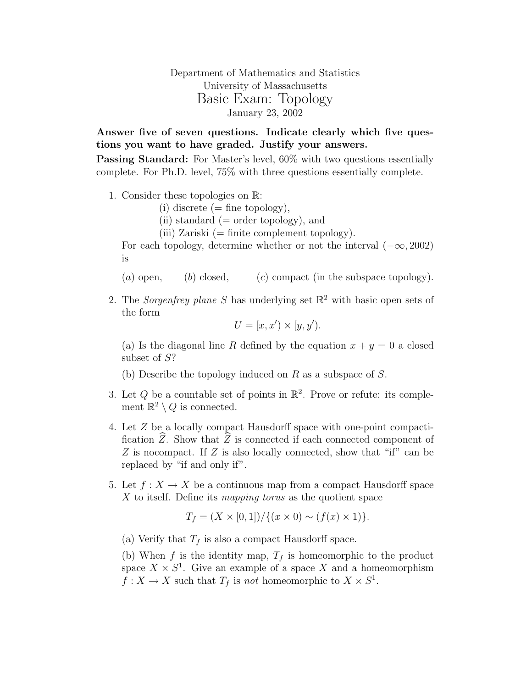Department of Mathematics and Statistics University of Massachusetts Basic Exam: Topology January 23, 2002

Answer five of seven questions. Indicate clearly which five questions you want to have graded. Justify your answers.

Passing Standard: For Master's level, 60% with two questions essentially complete. For Ph.D. level, 75% with three questions essentially complete.

- 1. Consider these topologies on R:
	- (i) discrete  $(=$  fine topology),
	- $(ii)$  standard  $(=$  order topology), and
	- (iii) Zariski  $(=$  finite complement topology).

For each topology, determine whether or not the interval  $(-\infty, 2002)$ is

(a) open, (b) closed, (c) compact (in the subspace topology).

2. The Sorgenfrey plane S has underlying set  $\mathbb{R}^2$  with basic open sets of the form

$$
U = [x, x') \times [y, y').
$$

(a) Is the diagonal line R defined by the equation  $x + y = 0$  a closed subset of S?

(b) Describe the topology induced on  $R$  as a subspace of  $S$ .

- 3. Let Q be a countable set of points in  $\mathbb{R}^2$ . Prove or refute: its complement  $\mathbb{R}^2 \setminus Q$  is connected.
- 4. Let Z be a locally compact Hausdorff space with one-point compactification  $\hat{Z}$ . Show that  $\hat{Z}$  is connected if each connected component of Z is no compact. If Z is also locally connected, show that "if" can be replaced by "if and only if".
- 5. Let  $f: X \to X$  be a continuous map from a compact Hausdorff space  $X$  to itself. Define its mapping torus as the quotient space

$$
T_f = (X \times [0,1]) / \{(x \times 0) \sim (f(x) \times 1)\}.
$$

(a) Verify that  $T_f$  is also a compact Hausdorff space.

(b) When f is the identity map,  $T_f$  is homeomorphic to the product space  $X \times S^1$ . Give an example of a space X and a homeomorphism  $f: X \to X$  such that  $T_f$  is not homeomorphic to  $X \times S^1$ .